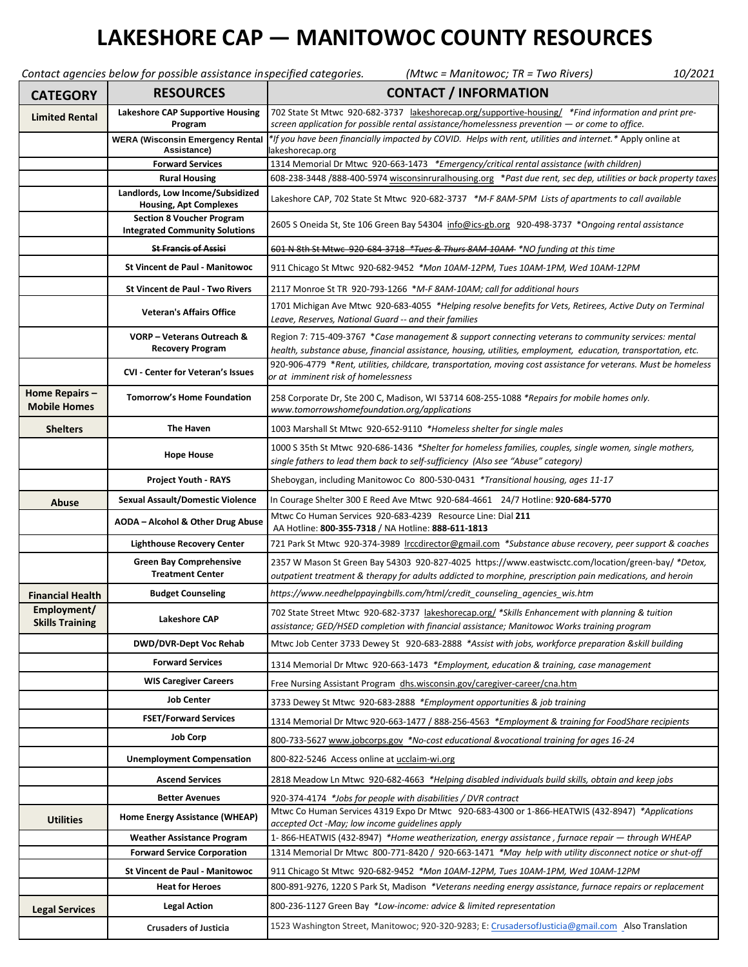## **LAKESHORE CAP — MANITOWOC COUNTY RESOURCES**

|                                       | Contact agencies below for possible assistance inspecified categories.    | (Mtwc = Manitowoc; TR = Two Rivers)<br>10/2021                                                                                                                                                                        |
|---------------------------------------|---------------------------------------------------------------------------|-----------------------------------------------------------------------------------------------------------------------------------------------------------------------------------------------------------------------|
| <b>CATEGORY</b>                       | <b>RESOURCES</b>                                                          | <b>CONTACT / INFORMATION</b>                                                                                                                                                                                          |
| <b>Limited Rental</b>                 | <b>Lakeshore CAP Supportive Housing</b><br>Program                        | 702 State St Mtwc 920-682-3737 lakeshorecap.org/supportive-housing/ *Find information and print pre-<br>screen application for possible rental assistance/homelessness prevention - or come to office.                |
|                                       | <b>WERA (Wisconsin Emergency Rental</b><br>Assistance)                    | *If you have been financially impacted by COVID. Helps with rent, utilities and internet.* Apply online at<br>lakeshorecap.org                                                                                        |
|                                       | <b>Forward Services</b>                                                   | 1314 Memorial Dr Mtwc 920-663-1473 *Emergency/critical rental assistance (with children)                                                                                                                              |
|                                       | <b>Rural Housing</b>                                                      | 608-238-3448 /888-400-5974 wisconsinruralhousing.org *Past due rent, sec dep, utilities or back property taxes                                                                                                        |
|                                       | Landlords, Low Income/Subsidized<br><b>Housing, Apt Complexes</b>         | Lakeshore CAP, 702 State St Mtwc 920-682-3737 *M-F 8AM-5PM Lists of apartments to call available                                                                                                                      |
|                                       | <b>Section 8 Voucher Program</b><br><b>Integrated Community Solutions</b> | 2605 S Oneida St, Ste 106 Green Bay 54304 info@ics-gb.org 920-498-3737 *Ongoing rental assistance                                                                                                                     |
|                                       | <b>St Francis of Assisi</b>                                               | 601 N 8th St Mtwc 920 684 3718 *Tues & Thurs 8AM 10AM *NO funding at this time                                                                                                                                        |
|                                       | <b>St Vincent de Paul - Manitowoc</b>                                     | 911 Chicago St Mtwc 920-682-9452 *Mon 10AM-12PM, Tues 10AM-1PM, Wed 10AM-12PM                                                                                                                                         |
|                                       | <b>St Vincent de Paul - Two Rivers</b>                                    | 2117 Monroe St TR 920-793-1266 *M-F 8AM-10AM; call for additional hours                                                                                                                                               |
|                                       | <b>Veteran's Affairs Office</b>                                           | 1701 Michigan Ave Mtwc 920-683-4055 *Helping resolve benefits for Vets, Retirees, Active Duty on Terminal<br>Leave, Reserves, National Guard -- and their families                                                    |
|                                       | <b>VORP-Veterans Outreach &amp;</b><br><b>Recovery Program</b>            | Region 7: 715-409-3767 *Case management & support connecting veterans to community services: mental<br>health, substance abuse, financial assistance, housing, utilities, employment, education, transportation, etc. |
|                                       | <b>CVI - Center for Veteran's Issues</b>                                  | 920-906-4779 *Rent, utilities, childcare, transportation, moving cost assistance for veterans. Must be homeless<br>or at imminent risk of homelessness                                                                |
| Home Repairs -<br><b>Mobile Homes</b> | <b>Tomorrow's Home Foundation</b>                                         | 258 Corporate Dr, Ste 200 C, Madison, WI 53714 608-255-1088 *Repairs for mobile homes only.<br>www.tomorrowshomefoundation.org/applications                                                                           |
| <b>Shelters</b>                       | <b>The Haven</b>                                                          | 1003 Marshall St Mtwc 920-652-9110 *Homeless shelter for single males                                                                                                                                                 |
|                                       | <b>Hope House</b>                                                         | 1000 S 35th St Mtwc 920-686-1436 *Shelter for homeless families, couples, single women, single mothers,<br>single fathers to lead them back to self-sufficiency (Also see "Abuse" category)                           |
|                                       | <b>Project Youth - RAYS</b>                                               | Sheboygan, including Manitowoc Co 800-530-0431 *Transitional housing, ages 11-17                                                                                                                                      |
| <b>Abuse</b>                          | <b>Sexual Assault/Domestic Violence</b>                                   | In Courage Shelter 300 E Reed Ave Mtwc 920-684-4661 24/7 Hotline: 920-684-5770                                                                                                                                        |
|                                       | <b>AODA - Alcohol &amp; Other Drug Abuse</b>                              | Mtwc Co Human Services 920-683-4239 Resource Line: Dial 211<br>AA Hotline: 800-355-7318 / NA Hotline: 888-611-1813                                                                                                    |
|                                       | <b>Lighthouse Recovery Center</b>                                         | 721 Park St Mtwc 920-374-3989 Irccdirector@gmail.com *Substance abuse recovery, peer support & coaches                                                                                                                |
|                                       | <b>Green Bay Comprehensive</b>                                            | 2357 W Mason St Green Bay 54303 920-827-4025 https://www.eastwisctc.com/location/green-bay/ *Detox,                                                                                                                   |
|                                       | <b>Treatment Center</b>                                                   | outpatient treatment & therapy for adults addicted to morphine, prescription pain medications, and heroin                                                                                                             |
| <b>Financial Health</b>               | <b>Budget Counseling</b>                                                  | https://www.needhelppayingbills.com/html/credit_counseling_agencies_wis.htm                                                                                                                                           |
| Employment/<br><b>Skills Training</b> | <b>Lakeshore CAP</b>                                                      | 702 State Street Mtwc 920-682-3737 lakeshorecap.org/ *Skills Enhancement with planning & tuition<br>assistance; GED/HSED completion with financial assistance; Manitowoc Works training program                       |
|                                       | <b>DWD/DVR-Dept Voc Rehab</b>                                             | Mtwc Job Center 3733 Dewey St 920-683-2888 *Assist with jobs, workforce preparation &skill building                                                                                                                   |
|                                       | <b>Forward Services</b>                                                   | 1314 Memorial Dr Mtwc 920-663-1473 *Employment, education & training, case management                                                                                                                                 |
|                                       | <b>WIS Caregiver Careers</b>                                              | Free Nursing Assistant Program dhs.wisconsin.gov/caregiver-career/cna.htm                                                                                                                                             |
|                                       | <b>Job Center</b>                                                         | 3733 Dewey St Mtwc 920-683-2888 *Employment opportunities & job training                                                                                                                                              |
|                                       | <b>FSET/Forward Services</b>                                              | 1314 Memorial Dr Mtwc 920-663-1477 / 888-256-4563 *Employment & training for FoodShare recipients                                                                                                                     |
|                                       | <b>Job Corp</b>                                                           | 800-733-5627 www.jobcorps.gov *No-cost educational &vocational training for ages 16-24                                                                                                                                |
|                                       | <b>Unemployment Compensation</b>                                          | 800-822-5246 Access online at ucclaim-wi.org                                                                                                                                                                          |
|                                       | <b>Ascend Services</b>                                                    | 2818 Meadow Ln Mtwc 920-682-4663 *Helping disabled individuals build skills, obtain and keep jobs                                                                                                                     |
|                                       | <b>Better Avenues</b>                                                     | 920-374-4174 *Jobs for people with disabilities / DVR contract                                                                                                                                                        |
| <b>Utilities</b>                      | Home Energy Assistance (WHEAP)                                            | Mtwc Co Human Services 4319 Expo Dr Mtwc 920-683-4300 or 1-866-HEATWIS (432-8947) *Applications<br>accepted Oct -May; low income guidelines apply                                                                     |
|                                       | <b>Weather Assistance Program</b>                                         | 1-866-HEATWIS (432-8947) *Home weatherization, energy assistance, furnace repair - through WHEAP                                                                                                                      |
|                                       | <b>Forward Service Corporation</b>                                        | 1314 Memorial Dr Mtwc 800-771-8420 / 920-663-1471 *May help with utility disconnect notice or shut-off                                                                                                                |
|                                       | <b>St Vincent de Paul - Manitowoc</b>                                     | 911 Chicago St Mtwc 920-682-9452 *Mon 10AM-12PM, Tues 10AM-1PM, Wed 10AM-12PM                                                                                                                                         |
|                                       | <b>Heat for Heroes</b>                                                    | 800-891-9276, 1220 S Park St, Madison *Veterans needing energy assistance, furnace repairs or replacement                                                                                                             |
| <b>Legal Services</b>                 | <b>Legal Action</b>                                                       | 800-236-1127 Green Bay *Low-income: advice & limited representation                                                                                                                                                   |
|                                       | <b>Crusaders of Justicia</b>                                              | 1523 Washington Street, Manitowoc; 920-320-9283; E: CrusadersofJusticia@gmail.com Also Translation                                                                                                                    |